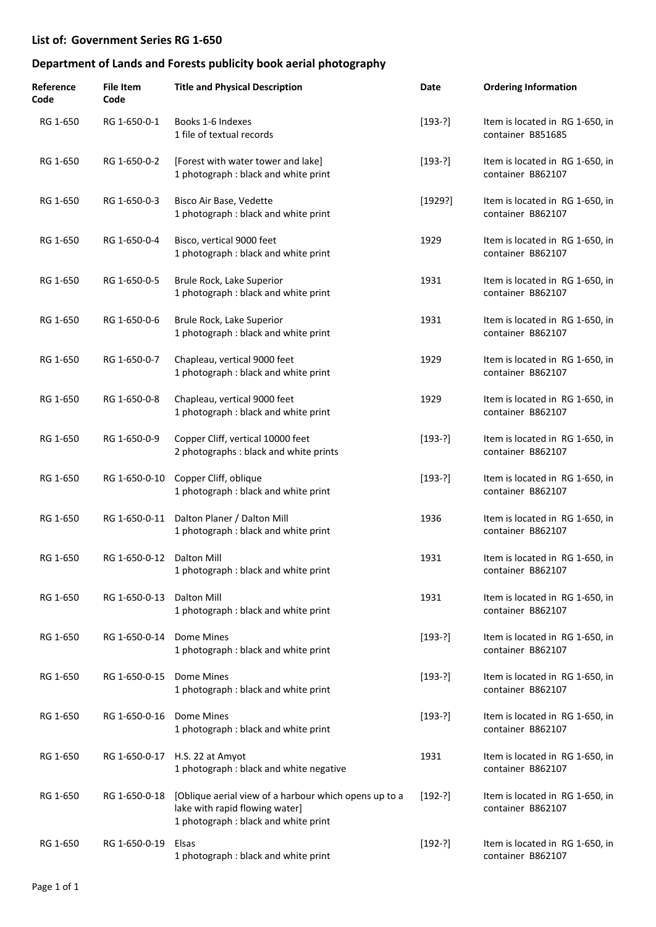| Reference<br>Code | <b>File Item</b><br>Code  | <b>Title and Physical Description</b>                                                                                           | Date      | <b>Ordering Information</b>                          |
|-------------------|---------------------------|---------------------------------------------------------------------------------------------------------------------------------|-----------|------------------------------------------------------|
| RG 1-650          | RG 1-650-0-1              | Books 1-6 Indexes<br>1 file of textual records                                                                                  | $[193-?]$ | Item is located in RG 1-650, in<br>container B851685 |
| RG 1-650          | RG 1-650-0-2              | [Forest with water tower and lake]<br>1 photograph : black and white print                                                      | $[193-?]$ | Item is located in RG 1-650, in<br>container B862107 |
| RG 1-650          | RG 1-650-0-3              | Bisco Air Base, Vedette<br>1 photograph : black and white print                                                                 | [1929?]   | Item is located in RG 1-650, in<br>container B862107 |
| RG 1-650          | RG 1-650-0-4              | Bisco, vertical 9000 feet<br>1 photograph : black and white print                                                               | 1929      | Item is located in RG 1-650, in<br>container B862107 |
| RG 1-650          | RG 1-650-0-5              | Brule Rock, Lake Superior<br>1 photograph : black and white print                                                               | 1931      | Item is located in RG 1-650, in<br>container B862107 |
| RG 1-650          | RG 1-650-0-6              | Brule Rock, Lake Superior<br>1 photograph : black and white print                                                               | 1931      | Item is located in RG 1-650, in<br>container B862107 |
| RG 1-650          | RG 1-650-0-7              | Chapleau, vertical 9000 feet<br>1 photograph : black and white print                                                            | 1929      | Item is located in RG 1-650, in<br>container B862107 |
| RG 1-650          | RG 1-650-0-8              | Chapleau, vertical 9000 feet<br>1 photograph : black and white print                                                            | 1929      | Item is located in RG 1-650, in<br>container B862107 |
| RG 1-650          | RG 1-650-0-9              | Copper Cliff, vertical 10000 feet<br>2 photographs : black and white prints                                                     | $[193-?]$ | Item is located in RG 1-650, in<br>container B862107 |
| RG 1-650          |                           | RG 1-650-0-10 Copper Cliff, oblique<br>1 photograph : black and white print                                                     | $[193-?]$ | Item is located in RG 1-650, in<br>container B862107 |
| RG 1-650          | RG 1-650-0-11             | Dalton Planer / Dalton Mill<br>1 photograph : black and white print                                                             | 1936      | Item is located in RG 1-650, in<br>container B862107 |
| RG 1-650          | RG 1-650-0-12 Dalton Mill | 1 photograph : black and white print                                                                                            | 1931      | Item is located in RG 1-650, in<br>container B862107 |
| RG 1-650          | RG 1-650-0-13             | Dalton Mill<br>1 photograph : black and white print                                                                             | 1931      | Item is located in RG 1-650, in<br>container B862107 |
| RG 1-650          | RG 1-650-0-14             | Dome Mines<br>1 photograph : black and white print                                                                              | $[193-?]$ | Item is located in RG 1-650, in<br>container B862107 |
| RG 1-650          | RG 1-650-0-15             | Dome Mines<br>1 photograph : black and white print                                                                              | $[193-?]$ | Item is located in RG 1-650, in<br>container B862107 |
| RG 1-650          | RG 1-650-0-16             | Dome Mines<br>1 photograph : black and white print                                                                              | $[193-?]$ | Item is located in RG 1-650, in<br>container B862107 |
| RG 1-650          |                           | RG 1-650-0-17 H.S. 22 at Amyot<br>1 photograph : black and white negative                                                       | 1931      | Item is located in RG 1-650, in<br>container B862107 |
| RG 1-650          | RG 1-650-0-18             | [Oblique aerial view of a harbour which opens up to a<br>lake with rapid flowing water]<br>1 photograph : black and white print | $[192-?]$ | Item is located in RG 1-650, in<br>container B862107 |
| RG 1-650          | RG 1-650-0-19             | Elsas<br>1 photograph : black and white print                                                                                   | $[192-?]$ | Item is located in RG 1-650, in<br>container B862107 |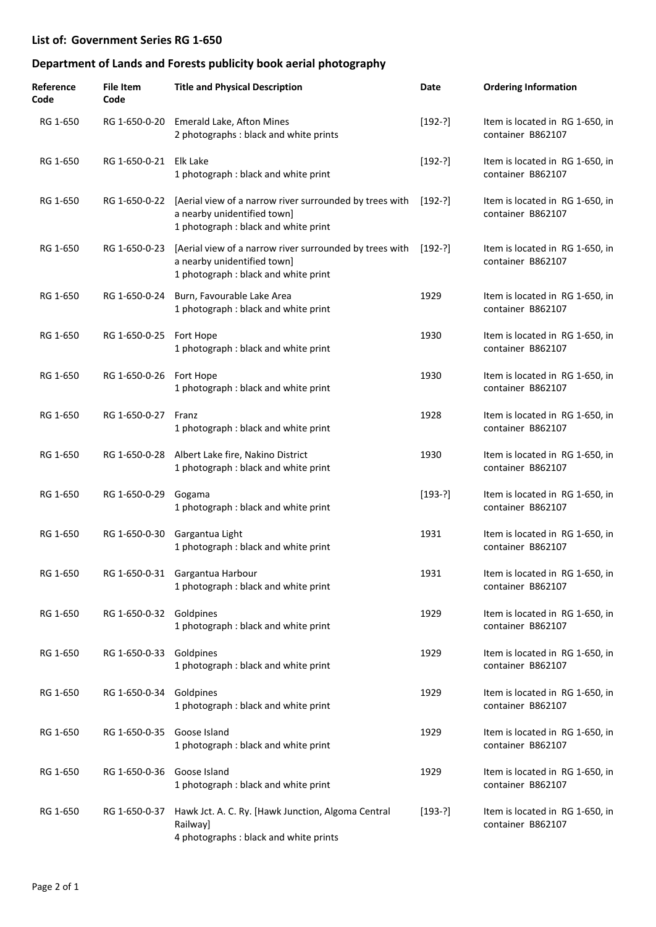| Reference<br>Code | <b>File Item</b><br>Code | <b>Title and Physical Description</b>                                                                                                        | Date      | <b>Ordering Information</b>                          |
|-------------------|--------------------------|----------------------------------------------------------------------------------------------------------------------------------------------|-----------|------------------------------------------------------|
| RG 1-650          |                          | RG 1-650-0-20 Emerald Lake, Afton Mines<br>2 photographs : black and white prints                                                            | $[192-?]$ | Item is located in RG 1-650, in<br>container B862107 |
| RG 1-650          | RG 1-650-0-21 Elk Lake   | 1 photograph : black and white print                                                                                                         | $[192-?]$ | Item is located in RG 1-650, in<br>container B862107 |
| RG 1-650          |                          | RG 1-650-0-22 [Aerial view of a narrow river surrounded by trees with<br>a nearby unidentified town]<br>1 photograph : black and white print | $[192-?]$ | Item is located in RG 1-650, in<br>container B862107 |
| RG 1-650          | RG 1-650-0-23            | [Aerial view of a narrow river surrounded by trees with<br>a nearby unidentified town]<br>1 photograph : black and white print               | [192-?]   | Item is located in RG 1-650, in<br>container B862107 |
| RG 1-650          |                          | RG 1-650-0-24 Burn, Favourable Lake Area<br>1 photograph : black and white print                                                             | 1929      | Item is located in RG 1-650, in<br>container B862107 |
| RG 1-650          | RG 1-650-0-25 Fort Hope  | 1 photograph : black and white print                                                                                                         | 1930      | Item is located in RG 1-650, in<br>container B862107 |
| RG 1-650          | RG 1-650-0-26 Fort Hope  | 1 photograph : black and white print                                                                                                         | 1930      | Item is located in RG 1-650, in<br>container B862107 |
| RG 1-650          | RG 1-650-0-27 Franz      | 1 photograph : black and white print                                                                                                         | 1928      | Item is located in RG 1-650, in<br>container B862107 |
| RG 1-650          |                          | RG 1-650-0-28 Albert Lake fire, Nakino District<br>1 photograph : black and white print                                                      | 1930      | Item is located in RG 1-650, in<br>container B862107 |
| RG 1-650          | RG 1-650-0-29            | Gogama<br>1 photograph : black and white print                                                                                               | $[193-?]$ | Item is located in RG 1-650, in<br>container B862107 |
| RG 1-650          |                          | RG 1-650-0-30 Gargantua Light<br>1 photograph : black and white print                                                                        | 1931      | Item is located in RG 1-650, in<br>container B862107 |
| RG 1-650          |                          | RG 1-650-0-31 Gargantua Harbour<br>1 photograph : black and white print                                                                      | 1931      | Item is located in RG 1-650, in<br>container B862107 |
| RG 1-650          | RG 1-650-0-32 Goldpines  | 1 photograph : black and white print                                                                                                         | 1929      | Item is located in RG 1-650, in<br>container B862107 |
| RG 1-650          | RG 1-650-0-33            | Goldpines<br>1 photograph : black and white print                                                                                            | 1929      | Item is located in RG 1-650, in<br>container B862107 |
| RG 1-650          | RG 1-650-0-34 Goldpines  | 1 photograph : black and white print                                                                                                         | 1929      | Item is located in RG 1-650, in<br>container B862107 |
| RG 1-650          | RG 1-650-0-35            | Goose Island<br>1 photograph: black and white print                                                                                          | 1929      | Item is located in RG 1-650, in<br>container B862107 |
| RG 1-650          | RG 1-650-0-36            | Goose Island<br>1 photograph : black and white print                                                                                         | 1929      | Item is located in RG 1-650, in<br>container B862107 |
| RG 1-650          | RG 1-650-0-37            | Hawk Jct. A. C. Ry. [Hawk Junction, Algoma Central<br>Railway]<br>4 photographs : black and white prints                                     | $[193-?]$ | Item is located in RG 1-650, in<br>container B862107 |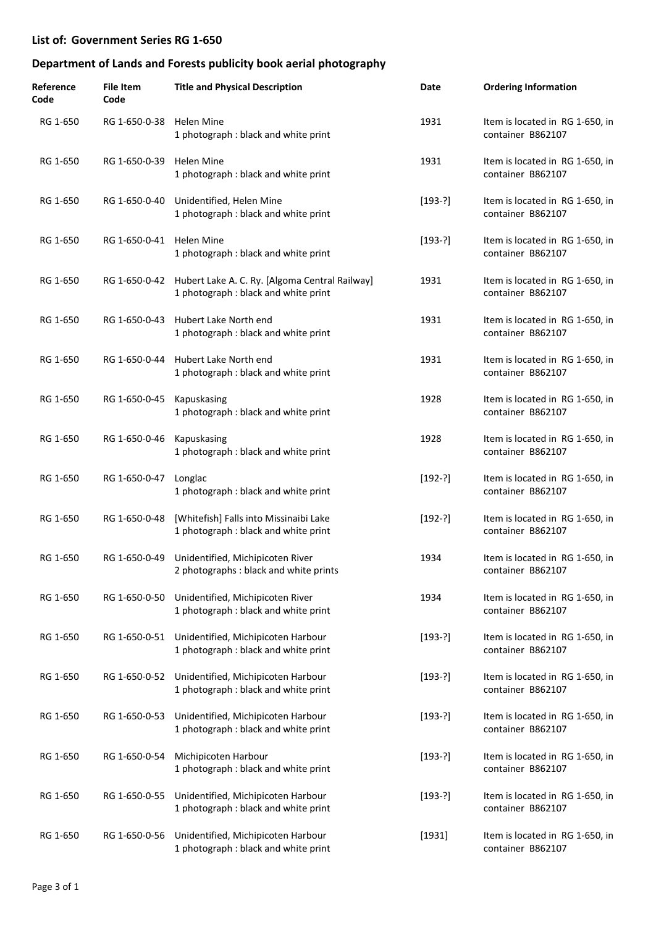| Reference<br>Code | <b>File Item</b><br>Code | <b>Title and Physical Description</b>                                                                | Date      | <b>Ordering Information</b>                          |
|-------------------|--------------------------|------------------------------------------------------------------------------------------------------|-----------|------------------------------------------------------|
| RG 1-650          | RG 1-650-0-38 Helen Mine | 1 photograph : black and white print                                                                 | 1931      | Item is located in RG 1-650, in<br>container B862107 |
| RG 1-650          | RG 1-650-0-39            | <b>Helen Mine</b><br>1 photograph : black and white print                                            | 1931      | Item is located in RG 1-650, in<br>container B862107 |
| RG 1-650          |                          | RG 1-650-0-40 Unidentified, Helen Mine<br>1 photograph : black and white print                       | $[193-?]$ | Item is located in RG 1-650, in<br>container B862107 |
| RG 1-650          | RG 1-650-0-41 Helen Mine | 1 photograph : black and white print                                                                 | $[193-?]$ | Item is located in RG 1-650, in<br>container B862107 |
| RG 1-650          |                          | RG 1-650-0-42 Hubert Lake A. C. Ry. [Algoma Central Railway]<br>1 photograph : black and white print | 1931      | Item is located in RG 1-650, in<br>container B862107 |
| RG 1-650          | RG 1-650-0-43            | Hubert Lake North end<br>1 photograph : black and white print                                        | 1931      | Item is located in RG 1-650, in<br>container B862107 |
| RG 1-650          |                          | RG 1-650-0-44 Hubert Lake North end<br>1 photograph : black and white print                          | 1931      | Item is located in RG 1-650, in<br>container B862107 |
| RG 1-650          | RG 1-650-0-45            | Kapuskasing<br>1 photograph : black and white print                                                  | 1928      | Item is located in RG 1-650, in<br>container B862107 |
| RG 1-650          | RG 1-650-0-46            | Kapuskasing<br>1 photograph : black and white print                                                  | 1928      | Item is located in RG 1-650, in<br>container B862107 |
| RG 1-650          | RG 1-650-0-47            | Longlac<br>1 photograph : black and white print                                                      | $[192-?]$ | Item is located in RG 1-650, in<br>container B862107 |
| RG 1-650          | RG 1-650-0-48            | [Whitefish] Falls into Missinaibi Lake<br>1 photograph : black and white print                       | $[192-?]$ | Item is located in RG 1-650, in<br>container B862107 |
| RG 1-650          |                          | RG 1-650-0-49 Unidentified, Michipicoten River<br>2 photographs : black and white prints             | 1934      | Item is located in RG 1-650, in<br>container B862107 |
| RG 1-650          |                          | RG 1-650-0-50 Unidentified, Michipicoten River<br>1 photograph : black and white print               | 1934      | Item is located in RG 1-650, in<br>container B862107 |
| RG 1-650          | RG 1-650-0-51            | Unidentified, Michipicoten Harbour<br>1 photograph : black and white print                           | $[193-?]$ | Item is located in RG 1-650, in<br>container B862107 |
| RG 1-650          |                          | RG 1-650-0-52 Unidentified, Michipicoten Harbour<br>1 photograph : black and white print             | $[193-?]$ | Item is located in RG 1-650, in<br>container B862107 |
| RG 1-650          | RG 1-650-0-53            | Unidentified, Michipicoten Harbour<br>1 photograph : black and white print                           | $[193-?]$ | Item is located in RG 1-650, in<br>container B862107 |
| RG 1-650          | RG 1-650-0-54            | Michipicoten Harbour<br>1 photograph : black and white print                                         | $[193-?]$ | Item is located in RG 1-650, in<br>container B862107 |
| RG 1-650          | RG 1-650-0-55            | Unidentified, Michipicoten Harbour<br>1 photograph : black and white print                           | $[193-?]$ | Item is located in RG 1-650, in<br>container B862107 |
| RG 1-650          | RG 1-650-0-56            | Unidentified, Michipicoten Harbour<br>1 photograph : black and white print                           | [1931]    | Item is located in RG 1-650, in<br>container B862107 |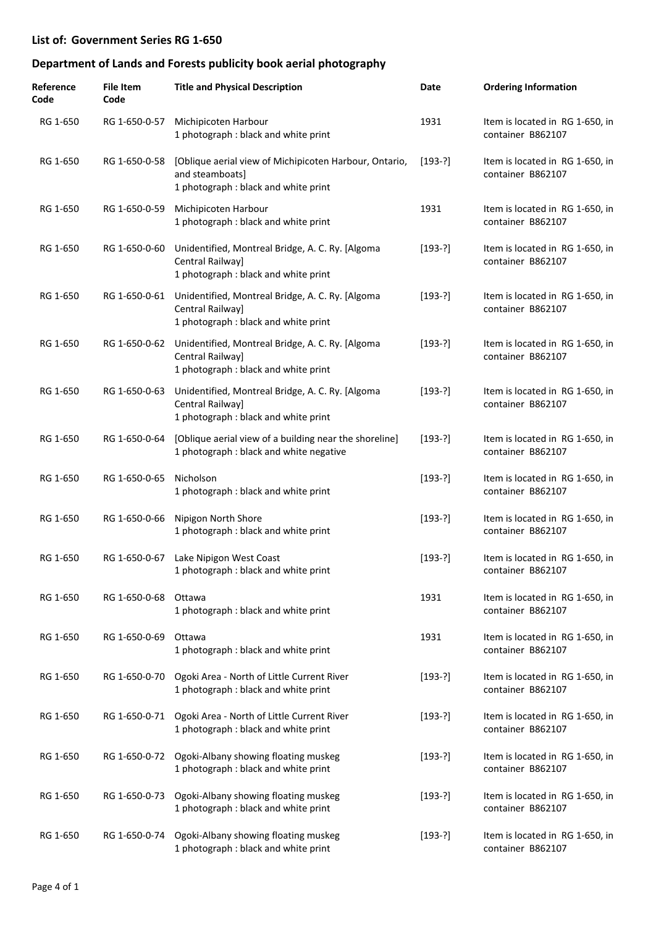| Reference<br>Code | <b>File Item</b><br>Code | <b>Title and Physical Description</b>                                                                             | Date      | <b>Ordering Information</b>                          |
|-------------------|--------------------------|-------------------------------------------------------------------------------------------------------------------|-----------|------------------------------------------------------|
| RG 1-650          | RG 1-650-0-57            | Michipicoten Harbour<br>1 photograph : black and white print                                                      | 1931      | Item is located in RG 1-650, in<br>container B862107 |
| RG 1-650          | RG 1-650-0-58            | [Oblique aerial view of Michipicoten Harbour, Ontario,<br>and steamboats]<br>1 photograph : black and white print | $[193-?]$ | Item is located in RG 1-650, in<br>container B862107 |
| RG 1-650          | RG 1-650-0-59            | Michipicoten Harbour<br>1 photograph : black and white print                                                      | 1931      | Item is located in RG 1-650, in<br>container B862107 |
| RG 1-650          | RG 1-650-0-60            | Unidentified, Montreal Bridge, A. C. Ry. [Algoma<br>Central Railway]<br>1 photograph : black and white print      | $[193-?]$ | Item is located in RG 1-650, in<br>container B862107 |
| RG 1-650          | RG 1-650-0-61            | Unidentified, Montreal Bridge, A. C. Ry. [Algoma<br>Central Railway]<br>1 photograph : black and white print      | $[193-?]$ | Item is located in RG 1-650, in<br>container B862107 |
| RG 1-650          | RG 1-650-0-62            | Unidentified, Montreal Bridge, A. C. Ry. [Algoma<br>Central Railway]<br>1 photograph : black and white print      | $[193-?]$ | Item is located in RG 1-650, in<br>container B862107 |
| RG 1-650          | RG 1-650-0-63            | Unidentified, Montreal Bridge, A. C. Ry. [Algoma<br>Central Railway]<br>1 photograph : black and white print      | $[193-?]$ | Item is located in RG 1-650, in<br>container B862107 |
| RG 1-650          | RG 1-650-0-64            | [Oblique aerial view of a building near the shoreline]<br>1 photograph : black and white negative                 | $[193-?]$ | Item is located in RG 1-650, in<br>container B862107 |
| RG 1-650          | RG 1-650-0-65            | Nicholson<br>1 photograph : black and white print                                                                 | $[193-?]$ | Item is located in RG 1-650, in<br>container B862107 |
| RG 1-650          | RG 1-650-0-66            | Nipigon North Shore<br>1 photograph : black and white print                                                       | $[193-?]$ | Item is located in RG 1-650, in<br>container B862107 |
| RG 1-650          | RG 1-650-0-67            | Lake Nipigon West Coast<br>1 photograph : black and white print                                                   | $[193-?]$ | Item is located in RG 1-650, in<br>container B862107 |
| RG 1-650          | RG 1-650-0-68            | Ottawa<br>1 photograph : black and white print                                                                    | 1931      | Item is located in RG 1-650, in<br>container B862107 |
| RG 1-650          | RG 1-650-0-69            | Ottawa<br>1 photograph : black and white print                                                                    | 1931      | Item is located in RG 1-650, in<br>container B862107 |
| RG 1-650          | RG 1-650-0-70            | Ogoki Area - North of Little Current River<br>1 photograph : black and white print                                | $[193-?]$ | Item is located in RG 1-650, in<br>container B862107 |
| RG 1-650          | RG 1-650-0-71            | Ogoki Area - North of Little Current River<br>1 photograph : black and white print                                | $[193-?]$ | Item is located in RG 1-650, in<br>container B862107 |
| RG 1-650          | RG 1-650-0-72            | Ogoki-Albany showing floating muskeg<br>1 photograph : black and white print                                      | $[193-?]$ | Item is located in RG 1-650, in<br>container B862107 |
| RG 1-650          | RG 1-650-0-73            | Ogoki-Albany showing floating muskeg<br>1 photograph : black and white print                                      | $[193-?]$ | Item is located in RG 1-650, in<br>container B862107 |
| RG 1-650          | RG 1-650-0-74            | Ogoki-Albany showing floating muskeg<br>1 photograph : black and white print                                      | $[193-?]$ | Item is located in RG 1-650, in<br>container B862107 |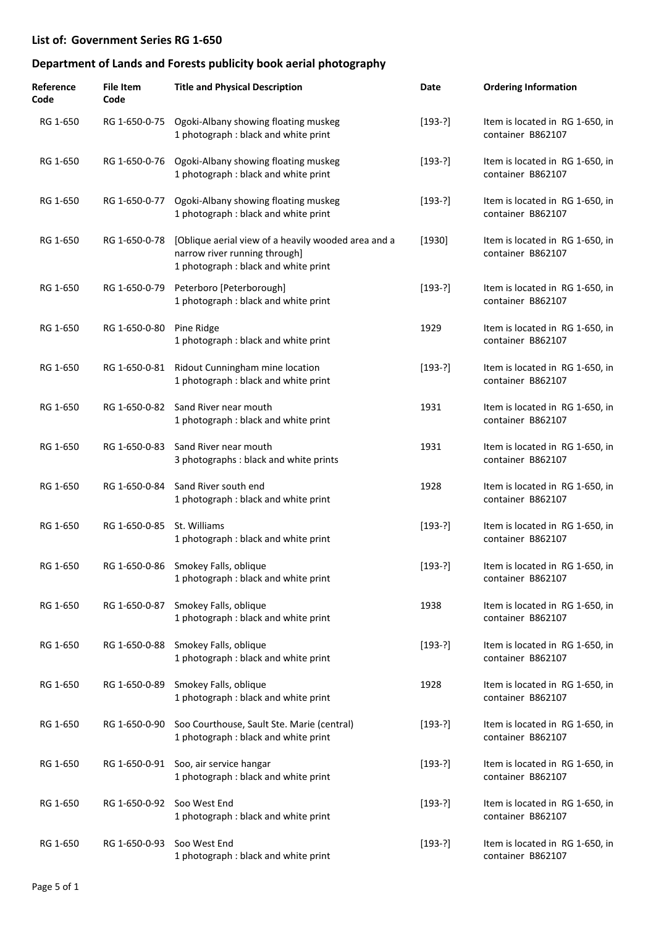| Reference<br>Code | <b>File Item</b><br>Code   | <b>Title and Physical Description</b>                                                                                        | Date      | <b>Ordering Information</b>                          |
|-------------------|----------------------------|------------------------------------------------------------------------------------------------------------------------------|-----------|------------------------------------------------------|
| RG 1-650          |                            | RG 1-650-0-75 Ogoki-Albany showing floating muskeg<br>1 photograph : black and white print                                   | $[193-?]$ | Item is located in RG 1-650, in<br>container B862107 |
| RG 1-650          |                            | RG 1-650-0-76 Ogoki-Albany showing floating muskeg<br>1 photograph : black and white print                                   | $[193-?]$ | Item is located in RG 1-650, in<br>container B862107 |
| RG 1-650          | RG 1-650-0-77              | Ogoki-Albany showing floating muskeg<br>1 photograph : black and white print                                                 | $[193-?]$ | Item is located in RG 1-650, in<br>container B862107 |
| RG 1-650          | RG 1-650-0-78              | [Oblique aerial view of a heavily wooded area and a<br>narrow river running through]<br>1 photograph : black and white print | $[1930]$  | Item is located in RG 1-650, in<br>container B862107 |
| RG 1-650          |                            | RG 1-650-0-79 Peterboro [Peterborough]<br>1 photograph : black and white print                                               | $[193-?]$ | Item is located in RG 1-650, in<br>container B862107 |
| RG 1-650          | RG 1-650-0-80              | Pine Ridge<br>1 photograph : black and white print                                                                           | 1929      | Item is located in RG 1-650, in<br>container B862107 |
| RG 1-650          | RG 1-650-0-81              | Ridout Cunningham mine location<br>1 photograph : black and white print                                                      | $[193-?]$ | Item is located in RG 1-650, in<br>container B862107 |
| RG 1-650          |                            | RG 1-650-0-82 Sand River near mouth<br>1 photograph : black and white print                                                  | 1931      | Item is located in RG 1-650, in<br>container B862107 |
| RG 1-650          | RG 1-650-0-83              | Sand River near mouth<br>3 photographs : black and white prints                                                              | 1931      | Item is located in RG 1-650, in<br>container B862107 |
| RG 1-650          | RG 1-650-0-84              | Sand River south end<br>1 photograph : black and white print                                                                 | 1928      | Item is located in RG 1-650, in<br>container B862107 |
| RG 1-650          | RG 1-650-0-85              | St. Williams<br>1 photograph : black and white print                                                                         | $[193-?]$ | Item is located in RG 1-650, in<br>container B862107 |
| RG 1-650          |                            | RG 1-650-0-86 Smokey Falls, oblique<br>1 photograph : black and white print                                                  | $[193-?]$ | Item is located in RG 1-650, in<br>container B862107 |
| RG 1-650          |                            | RG 1-650-0-87 Smokey Falls, oblique<br>1 photograph : black and white print                                                  | 1938      | Item is located in RG 1-650, in<br>container B862107 |
| RG 1-650          |                            | RG 1-650-0-88 Smokey Falls, oblique<br>1 photograph : black and white print                                                  | $[193-?]$ | Item is located in RG 1-650, in<br>container B862107 |
| RG 1-650          |                            | RG 1-650-0-89 Smokey Falls, oblique<br>1 photograph : black and white print                                                  | 1928      | Item is located in RG 1-650, in<br>container B862107 |
| RG 1-650          |                            | RG 1-650-0-90 Soo Courthouse, Sault Ste. Marie (central)<br>1 photograph : black and white print                             | $[193-?]$ | Item is located in RG 1-650, in<br>container B862107 |
| RG 1-650          |                            | RG 1-650-0-91 Soo, air service hangar<br>1 photograph : black and white print                                                | $[193-?]$ | Item is located in RG 1-650, in<br>container B862107 |
| RG 1-650          | RG 1-650-0-92 Soo West End | 1 photograph : black and white print                                                                                         | $[193-?]$ | Item is located in RG 1-650, in<br>container B862107 |
| RG 1-650          | RG 1-650-0-93              | Soo West End<br>1 photograph : black and white print                                                                         | $[193-?]$ | Item is located in RG 1-650, in<br>container B862107 |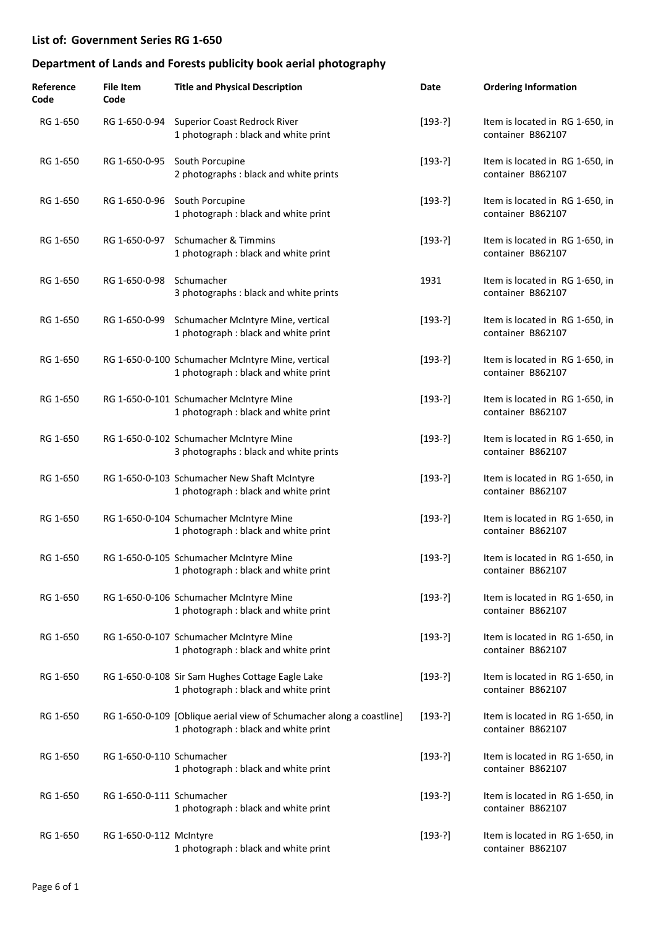| Reference<br>Code | <b>File Item</b><br>Code  | <b>Title and Physical Description</b>                                                                        | Date      | <b>Ordering Information</b>                          |
|-------------------|---------------------------|--------------------------------------------------------------------------------------------------------------|-----------|------------------------------------------------------|
| RG 1-650          |                           | RG 1-650-0-94 Superior Coast Redrock River<br>1 photograph : black and white print                           | $[193-?]$ | Item is located in RG 1-650, in<br>container B862107 |
| RG 1-650          | RG 1-650-0-95             | South Porcupine<br>2 photographs : black and white prints                                                    | $[193-?]$ | Item is located in RG 1-650, in<br>container B862107 |
| RG 1-650          |                           | RG 1-650-0-96 South Porcupine<br>1 photograph : black and white print                                        | $[193-?]$ | Item is located in RG 1-650, in<br>container B862107 |
| RG 1-650          | RG 1-650-0-97             | Schumacher & Timmins<br>1 photograph : black and white print                                                 | $[193-?]$ | Item is located in RG 1-650, in<br>container B862107 |
| RG 1-650          | RG 1-650-0-98 Schumacher  | 3 photographs : black and white prints                                                                       | 1931      | Item is located in RG 1-650, in<br>container B862107 |
| RG 1-650          | RG 1-650-0-99             | Schumacher McIntyre Mine, vertical<br>1 photograph : black and white print                                   | $[193-?]$ | Item is located in RG 1-650, in<br>container B862107 |
| RG 1-650          |                           | RG 1-650-0-100 Schumacher McIntyre Mine, vertical<br>1 photograph : black and white print                    | $[193-?]$ | Item is located in RG 1-650, in<br>container B862107 |
| RG 1-650          |                           | RG 1-650-0-101 Schumacher McIntyre Mine<br>1 photograph : black and white print                              | $[193-?]$ | Item is located in RG 1-650, in<br>container B862107 |
| RG 1-650          |                           | RG 1-650-0-102 Schumacher McIntyre Mine<br>3 photographs : black and white prints                            | $[193-?]$ | Item is located in RG 1-650, in<br>container B862107 |
| RG 1-650          |                           | RG 1-650-0-103 Schumacher New Shaft McIntyre<br>1 photograph : black and white print                         | $[193-?]$ | Item is located in RG 1-650, in<br>container B862107 |
| RG 1-650          |                           | RG 1-650-0-104 Schumacher McIntyre Mine<br>1 photograph : black and white print                              | $[193-?]$ | Item is located in RG 1-650, in<br>container B862107 |
| RG 1-650          |                           | RG 1-650-0-105 Schumacher McIntyre Mine<br>1 photograph : black and white print                              | $[193-?]$ | Item is located in RG 1-650, in<br>container B862107 |
| RG 1-650          |                           | RG 1-650-0-106 Schumacher McIntyre Mine<br>1 photograph : black and white print                              | $[193-?]$ | Item is located in RG 1-650, in<br>container B862107 |
| RG 1-650          |                           | RG 1-650-0-107 Schumacher McIntyre Mine<br>1 photograph : black and white print                              | $[193-?]$ | Item is located in RG 1-650, in<br>container B862107 |
| RG 1-650          |                           | RG 1-650-0-108 Sir Sam Hughes Cottage Eagle Lake<br>1 photograph : black and white print                     | $[193-?]$ | Item is located in RG 1-650, in<br>container B862107 |
| RG 1-650          |                           | RG 1-650-0-109 [Oblique aerial view of Schumacher along a coastline]<br>1 photograph : black and white print | $[193-?]$ | Item is located in RG 1-650, in<br>container B862107 |
| RG 1-650          | RG 1-650-0-110 Schumacher | 1 photograph : black and white print                                                                         | $[193-?]$ | Item is located in RG 1-650, in<br>container B862107 |
| RG 1-650          | RG 1-650-0-111 Schumacher | 1 photograph : black and white print                                                                         | $[193-?]$ | Item is located in RG 1-650, in<br>container B862107 |
| RG 1-650          | RG 1-650-0-112 McIntyre   | 1 photograph : black and white print                                                                         | $[193-?]$ | Item is located in RG 1-650, in<br>container B862107 |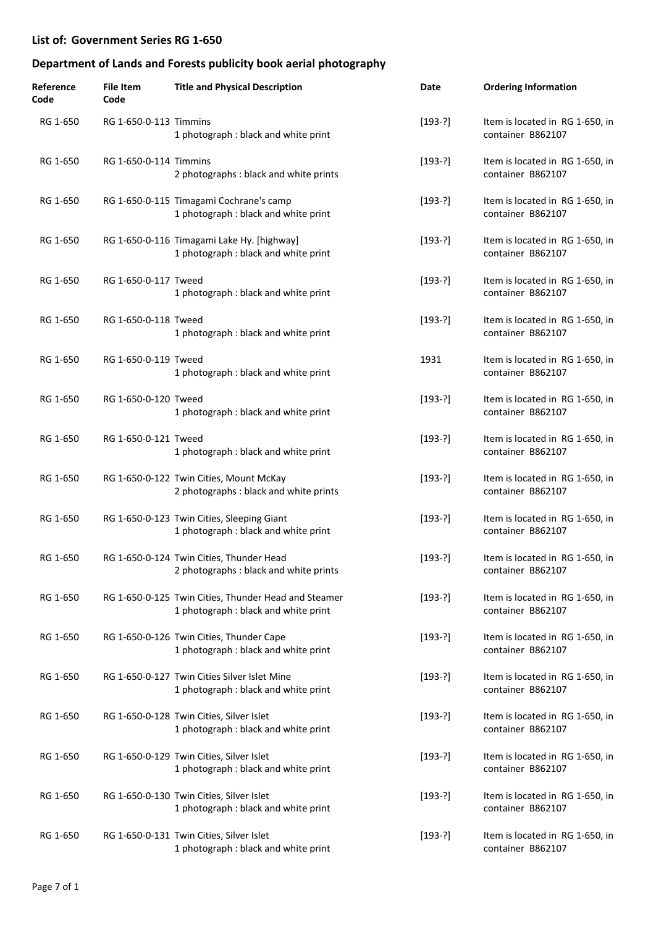| Reference<br>Code | <b>File Item</b><br>Code | <b>Title and Physical Description</b>                                                        | Date      | <b>Ordering Information</b>                          |
|-------------------|--------------------------|----------------------------------------------------------------------------------------------|-----------|------------------------------------------------------|
| RG 1-650          | RG 1-650-0-113 Timmins   | 1 photograph : black and white print                                                         | $[193-?]$ | Item is located in RG 1-650, in<br>container B862107 |
| RG 1-650          | RG 1-650-0-114 Timmins   | 2 photographs : black and white prints                                                       | $[193-?]$ | Item is located in RG 1-650, in<br>container B862107 |
| RG 1-650          |                          | RG 1-650-0-115 Timagami Cochrane's camp<br>1 photograph : black and white print              | $[193-?]$ | Item is located in RG 1-650, in<br>container B862107 |
| RG 1-650          |                          | RG 1-650-0-116 Timagami Lake Hy. [highway]<br>1 photograph : black and white print           | $[193-?]$ | Item is located in RG 1-650, in<br>container B862107 |
| RG 1-650          | RG 1-650-0-117 Tweed     | 1 photograph : black and white print                                                         | $[193-?]$ | Item is located in RG 1-650, in<br>container B862107 |
| RG 1-650          | RG 1-650-0-118 Tweed     | 1 photograph : black and white print                                                         | $[193-?]$ | Item is located in RG 1-650, in<br>container B862107 |
| RG 1-650          | RG 1-650-0-119 Tweed     | 1 photograph : black and white print                                                         | 1931      | Item is located in RG 1-650, in<br>container B862107 |
| RG 1-650          | RG 1-650-0-120 Tweed     | 1 photograph : black and white print                                                         | $[193-?]$ | Item is located in RG 1-650, in<br>container B862107 |
| RG 1-650          | RG 1-650-0-121 Tweed     | 1 photograph : black and white print                                                         | $[193-?]$ | Item is located in RG 1-650, in<br>container B862107 |
| RG 1-650          |                          | RG 1-650-0-122 Twin Cities, Mount McKay<br>2 photographs : black and white prints            | $[193-?]$ | Item is located in RG 1-650, in<br>container B862107 |
| RG 1-650          |                          | RG 1-650-0-123 Twin Cities, Sleeping Giant<br>1 photograph : black and white print           | $[193-?]$ | Item is located in RG 1-650, in<br>container B862107 |
| RG 1-650          |                          | RG 1-650-0-124 Twin Cities, Thunder Head<br>2 photographs : black and white prints           | $[193-?]$ | Item is located in RG 1-650, in<br>container B862107 |
| RG 1-650          |                          | RG 1-650-0-125 Twin Cities, Thunder Head and Steamer<br>1 photograph : black and white print | $[193-?]$ | Item is located in RG 1-650, in<br>container B862107 |
| RG 1-650          |                          | RG 1-650-0-126 Twin Cities, Thunder Cape<br>1 photograph : black and white print             | $[193-?]$ | Item is located in RG 1-650, in<br>container B862107 |
| RG 1-650          |                          | RG 1-650-0-127 Twin Cities Silver Islet Mine<br>1 photograph : black and white print         | $[193-?]$ | Item is located in RG 1-650, in<br>container B862107 |
| RG 1-650          |                          | RG 1-650-0-128 Twin Cities, Silver Islet<br>1 photograph : black and white print             | $[193-?]$ | Item is located in RG 1-650, in<br>container B862107 |
| RG 1-650          |                          | RG 1-650-0-129 Twin Cities, Silver Islet<br>1 photograph : black and white print             | $[193-?]$ | Item is located in RG 1-650, in<br>container B862107 |
| RG 1-650          |                          | RG 1-650-0-130 Twin Cities, Silver Islet<br>1 photograph : black and white print             | $[193-?]$ | Item is located in RG 1-650, in<br>container B862107 |
| RG 1-650          |                          | RG 1-650-0-131 Twin Cities, Silver Islet<br>1 photograph : black and white print             | $[193-?]$ | Item is located in RG 1-650, in<br>container B862107 |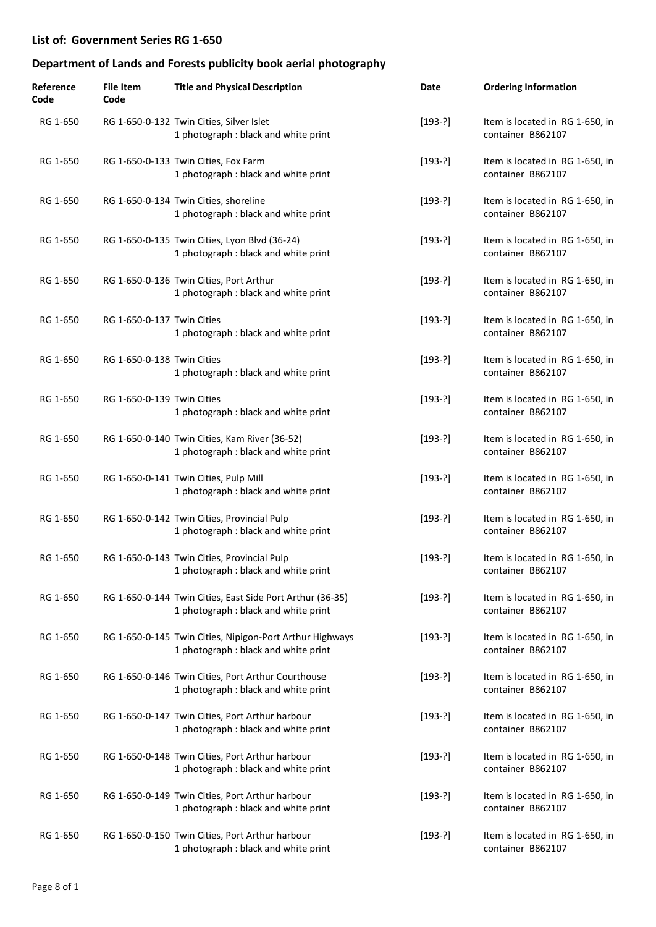| Reference<br>Code | <b>File Item</b><br>Code   | <b>Title and Physical Description</b>                                                             | Date      | <b>Ordering Information</b>                          |
|-------------------|----------------------------|---------------------------------------------------------------------------------------------------|-----------|------------------------------------------------------|
| RG 1-650          |                            | RG 1-650-0-132 Twin Cities, Silver Islet<br>1 photograph : black and white print                  | $[193-?]$ | Item is located in RG 1-650, in<br>container B862107 |
| RG 1-650          |                            | RG 1-650-0-133 Twin Cities, Fox Farm<br>1 photograph : black and white print                      | $[193-?]$ | Item is located in RG 1-650, in<br>container B862107 |
| RG 1-650          |                            | RG 1-650-0-134 Twin Cities, shoreline<br>1 photograph : black and white print                     | $[193-?]$ | Item is located in RG 1-650, in<br>container B862107 |
| RG 1-650          |                            | RG 1-650-0-135 Twin Cities, Lyon Blvd (36-24)<br>1 photograph : black and white print             | $[193-?]$ | Item is located in RG 1-650, in<br>container B862107 |
| RG 1-650          |                            | RG 1-650-0-136 Twin Cities, Port Arthur<br>1 photograph : black and white print                   | $[193-?]$ | Item is located in RG 1-650, in<br>container B862107 |
| RG 1-650          | RG 1-650-0-137 Twin Cities | 1 photograph : black and white print                                                              | $[193-?]$ | Item is located in RG 1-650, in<br>container B862107 |
| RG 1-650          | RG 1-650-0-138 Twin Cities | 1 photograph : black and white print                                                              | $[193-?]$ | Item is located in RG 1-650, in<br>container B862107 |
| RG 1-650          | RG 1-650-0-139 Twin Cities | 1 photograph : black and white print                                                              | $[193-?]$ | Item is located in RG 1-650, in<br>container B862107 |
| RG 1-650          |                            | RG 1-650-0-140 Twin Cities, Kam River (36-52)<br>1 photograph : black and white print             | $[193-?]$ | Item is located in RG 1-650, in<br>container B862107 |
| RG 1-650          |                            | RG 1-650-0-141 Twin Cities, Pulp Mill<br>1 photograph : black and white print                     | $[193-?]$ | Item is located in RG 1-650, in<br>container B862107 |
| RG 1-650          |                            | RG 1-650-0-142 Twin Cities, Provincial Pulp<br>1 photograph : black and white print               | $[193-?]$ | Item is located in RG 1-650, in<br>container B862107 |
| RG 1-650          |                            | RG 1-650-0-143 Twin Cities, Provincial Pulp<br>1 photograph: black and white print                | $[193-?]$ | Item is located in RG 1-650, in<br>container B862107 |
| RG 1-650          |                            | RG 1-650-0-144 Twin Cities, East Side Port Arthur (36-35)<br>1 photograph : black and white print | $[193-?]$ | Item is located in RG 1-650, in<br>container B862107 |
| RG 1-650          |                            | RG 1-650-0-145 Twin Cities, Nipigon-Port Arthur Highways<br>1 photograph : black and white print  | $[193-?]$ | Item is located in RG 1-650, in<br>container B862107 |
| RG 1-650          |                            | RG 1-650-0-146 Twin Cities, Port Arthur Courthouse<br>1 photograph : black and white print        | $[193-?]$ | Item is located in RG 1-650, in<br>container B862107 |
| RG 1-650          |                            | RG 1-650-0-147 Twin Cities, Port Arthur harbour<br>1 photograph : black and white print           | $[193-?]$ | Item is located in RG 1-650, in<br>container B862107 |
| RG 1-650          |                            | RG 1-650-0-148 Twin Cities, Port Arthur harbour<br>1 photograph : black and white print           | $[193-?]$ | Item is located in RG 1-650, in<br>container B862107 |
| RG 1-650          |                            | RG 1-650-0-149 Twin Cities, Port Arthur harbour<br>1 photograph : black and white print           | $[193-?]$ | Item is located in RG 1-650, in<br>container B862107 |
| RG 1-650          |                            | RG 1-650-0-150 Twin Cities, Port Arthur harbour<br>1 photograph : black and white print           | $[193-?]$ | Item is located in RG 1-650, in<br>container B862107 |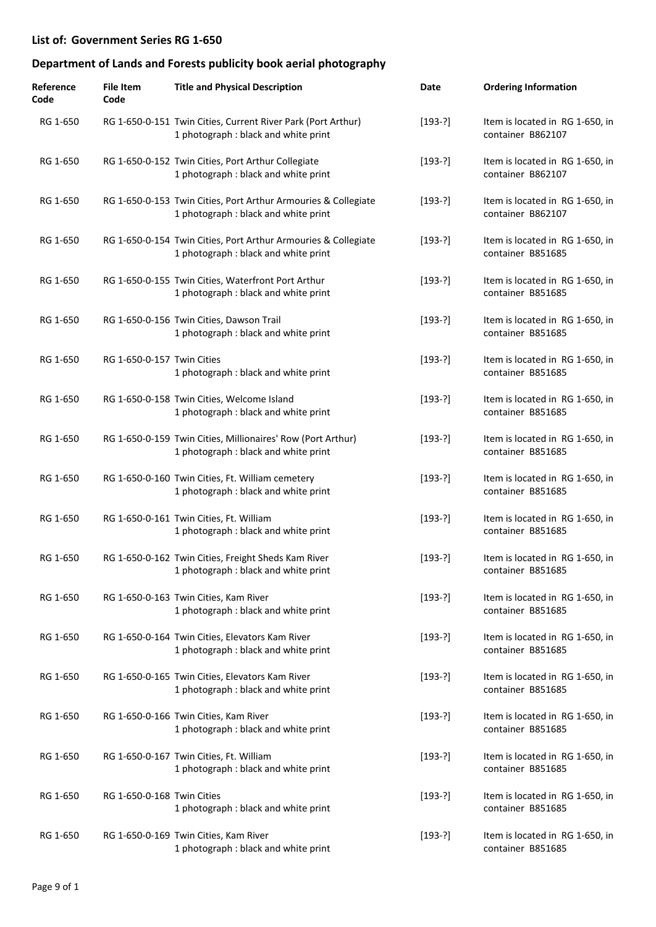| Reference<br>Code | <b>File Item</b><br>Code   | <b>Title and Physical Description</b>                                                                  | Date      | <b>Ordering Information</b>                          |
|-------------------|----------------------------|--------------------------------------------------------------------------------------------------------|-----------|------------------------------------------------------|
| RG 1-650          |                            | RG 1-650-0-151 Twin Cities, Current River Park (Port Arthur)<br>1 photograph : black and white print   | $[193-?]$ | Item is located in RG 1-650, in<br>container B862107 |
| RG 1-650          |                            | RG 1-650-0-152 Twin Cities, Port Arthur Collegiate<br>1 photograph : black and white print             | $[193-?]$ | Item is located in RG 1-650, in<br>container B862107 |
| RG 1-650          |                            | RG 1-650-0-153 Twin Cities, Port Arthur Armouries & Collegiate<br>1 photograph : black and white print | $[193-?]$ | Item is located in RG 1-650, in<br>container B862107 |
| RG 1-650          |                            | RG 1-650-0-154 Twin Cities, Port Arthur Armouries & Collegiate<br>1 photograph : black and white print | $[193-?]$ | Item is located in RG 1-650, in<br>container B851685 |
| RG 1-650          |                            | RG 1-650-0-155 Twin Cities, Waterfront Port Arthur<br>1 photograph : black and white print             | $[193-?]$ | Item is located in RG 1-650, in<br>container B851685 |
| RG 1-650          |                            | RG 1-650-0-156 Twin Cities, Dawson Trail<br>1 photograph : black and white print                       | $[193-?]$ | Item is located in RG 1-650, in<br>container B851685 |
| RG 1-650          | RG 1-650-0-157 Twin Cities | 1 photograph: black and white print                                                                    | $[193-?]$ | Item is located in RG 1-650, in<br>container B851685 |
| RG 1-650          |                            | RG 1-650-0-158 Twin Cities, Welcome Island<br>1 photograph : black and white print                     | $[193-?]$ | Item is located in RG 1-650, in<br>container B851685 |
| RG 1-650          |                            | RG 1-650-0-159 Twin Cities, Millionaires' Row (Port Arthur)<br>1 photograph : black and white print    | $[193-?]$ | Item is located in RG 1-650, in<br>container B851685 |
| RG 1-650          |                            | RG 1-650-0-160 Twin Cities, Ft. William cemetery<br>1 photograph : black and white print               | $[193-?]$ | Item is located in RG 1-650, in<br>container B851685 |
| RG 1-650          |                            | RG 1-650-0-161 Twin Cities, Ft. William<br>1 photograph : black and white print                        | $[193-?]$ | Item is located in RG 1-650, in<br>container B851685 |
| RG 1-650          |                            | RG 1-650-0-162 Twin Cities, Freight Sheds Kam River<br>1 photograph : black and white print            | $[193-?]$ | Item is located in RG 1-650, in<br>container B851685 |
| RG 1-650          |                            | RG 1-650-0-163 Twin Cities, Kam River<br>1 photograph : black and white print                          | $[193-?]$ | Item is located in RG 1-650, in<br>container B851685 |
| RG 1-650          |                            | RG 1-650-0-164 Twin Cities, Elevators Kam River<br>1 photograph : black and white print                | $[193-?]$ | Item is located in RG 1-650, in<br>container B851685 |
| RG 1-650          |                            | RG 1-650-0-165 Twin Cities, Elevators Kam River<br>1 photograph : black and white print                | $[193-?]$ | Item is located in RG 1-650, in<br>container B851685 |
| RG 1-650          |                            | RG 1-650-0-166 Twin Cities, Kam River<br>1 photograph : black and white print                          | $[193-?]$ | Item is located in RG 1-650, in<br>container B851685 |
| RG 1-650          |                            | RG 1-650-0-167 Twin Cities, Ft. William<br>1 photograph : black and white print                        | $[193-?]$ | Item is located in RG 1-650, in<br>container B851685 |
| RG 1-650          | RG 1-650-0-168 Twin Cities | 1 photograph : black and white print                                                                   | $[193-?]$ | Item is located in RG 1-650, in<br>container B851685 |
| RG 1-650          |                            | RG 1-650-0-169 Twin Cities, Kam River<br>1 photograph : black and white print                          | $[193-?]$ | Item is located in RG 1-650, in<br>container B851685 |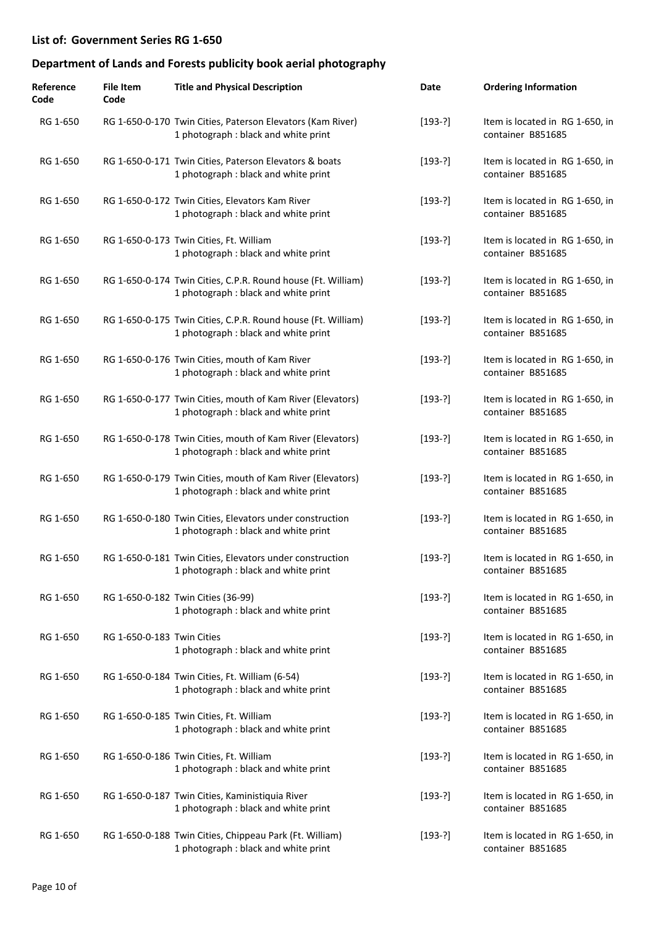| Reference<br>Code | <b>File Item</b><br>Code   | <b>Title and Physical Description</b>                                                                | Date      | <b>Ordering Information</b>                          |
|-------------------|----------------------------|------------------------------------------------------------------------------------------------------|-----------|------------------------------------------------------|
| RG 1-650          |                            | RG 1-650-0-170 Twin Cities, Paterson Elevators (Kam River)<br>1 photograph : black and white print   | $[193-?]$ | Item is located in RG 1-650, in<br>container B851685 |
| RG 1-650          |                            | RG 1-650-0-171 Twin Cities, Paterson Elevators & boats<br>1 photograph : black and white print       | $[193-?]$ | Item is located in RG 1-650, in<br>container B851685 |
| RG 1-650          |                            | RG 1-650-0-172 Twin Cities, Elevators Kam River<br>1 photograph : black and white print              | $[193-?]$ | Item is located in RG 1-650, in<br>container B851685 |
| RG 1-650          |                            | RG 1-650-0-173 Twin Cities, Ft. William<br>1 photograph : black and white print                      | $[193-?]$ | Item is located in RG 1-650, in<br>container B851685 |
| RG 1-650          |                            | RG 1-650-0-174 Twin Cities, C.P.R. Round house (Ft. William)<br>1 photograph : black and white print | $[193-?]$ | Item is located in RG 1-650, in<br>container B851685 |
| RG 1-650          |                            | RG 1-650-0-175 Twin Cities, C.P.R. Round house (Ft. William)<br>1 photograph : black and white print | $[193-?]$ | Item is located in RG 1-650, in<br>container B851685 |
| RG 1-650          |                            | RG 1-650-0-176 Twin Cities, mouth of Kam River<br>1 photograph : black and white print               | $[193-?]$ | Item is located in RG 1-650, in<br>container B851685 |
| RG 1-650          |                            | RG 1-650-0-177 Twin Cities, mouth of Kam River (Elevators)<br>1 photograph : black and white print   | $[193-?]$ | Item is located in RG 1-650, in<br>container B851685 |
| RG 1-650          |                            | RG 1-650-0-178 Twin Cities, mouth of Kam River (Elevators)<br>1 photograph : black and white print   | $[193-?]$ | Item is located in RG 1-650, in<br>container B851685 |
| RG 1-650          |                            | RG 1-650-0-179 Twin Cities, mouth of Kam River (Elevators)<br>1 photograph : black and white print   | $[193-?]$ | Item is located in RG 1-650, in<br>container B851685 |
| RG 1-650          |                            | RG 1-650-0-180 Twin Cities, Elevators under construction<br>1 photograph : black and white print     | $[193-?]$ | Item is located in RG 1-650, in<br>container B851685 |
| RG 1-650          |                            | RG 1-650-0-181 Twin Cities, Elevators under construction<br>1 photograph : black and white print     | $[193-?]$ | Item is located in RG 1-650, in<br>container B851685 |
| RG 1-650          |                            | RG 1-650-0-182 Twin Cities (36-99)<br>1 photograph : black and white print                           | $[193-?]$ | Item is located in RG 1-650, in<br>container B851685 |
| RG 1-650          | RG 1-650-0-183 Twin Cities | 1 photograph : black and white print                                                                 | $[193-?]$ | Item is located in RG 1-650, in<br>container B851685 |
| RG 1-650          |                            | RG 1-650-0-184 Twin Cities, Ft. William (6-54)<br>1 photograph : black and white print               | $[193-?]$ | Item is located in RG 1-650, in<br>container B851685 |
| RG 1-650          |                            | RG 1-650-0-185 Twin Cities, Ft. William<br>1 photograph : black and white print                      | $[193-?]$ | Item is located in RG 1-650, in<br>container B851685 |
| RG 1-650          |                            | RG 1-650-0-186 Twin Cities, Ft. William<br>1 photograph : black and white print                      | $[193-?]$ | Item is located in RG 1-650, in<br>container B851685 |
| RG 1-650          |                            | RG 1-650-0-187 Twin Cities, Kaministiquia River<br>1 photograph : black and white print              | $[193-?]$ | Item is located in RG 1-650, in<br>container B851685 |
| RG 1-650          |                            | RG 1-650-0-188 Twin Cities, Chippeau Park (Ft. William)<br>1 photograph : black and white print      | $[193-?]$ | Item is located in RG 1-650, in<br>container B851685 |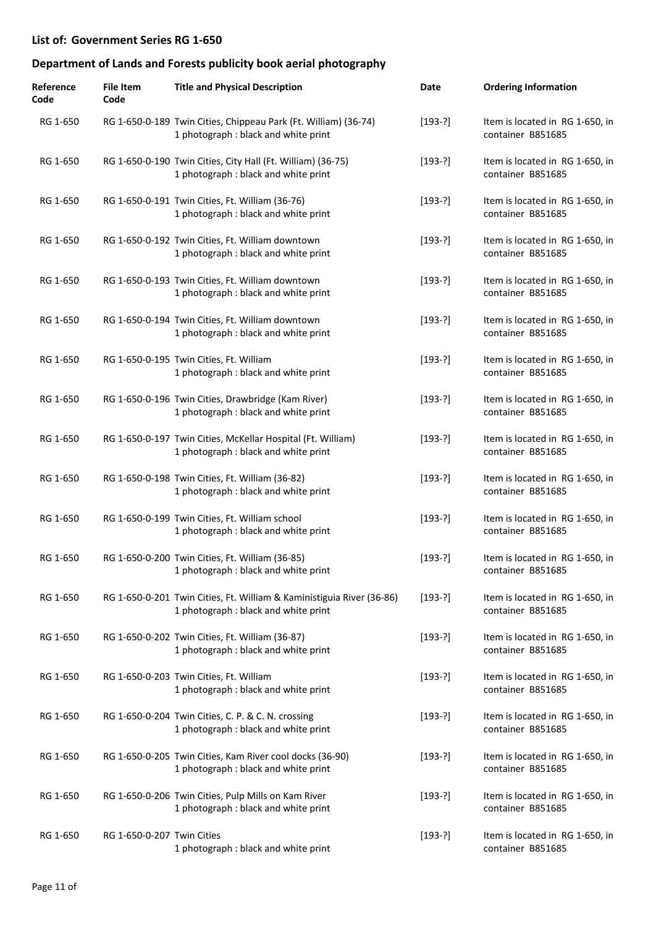| Reference<br>Code | <b>File Item</b><br>Code   | <b>Title and Physical Description</b>                                                                         | Date      | <b>Ordering Information</b>                          |
|-------------------|----------------------------|---------------------------------------------------------------------------------------------------------------|-----------|------------------------------------------------------|
| RG 1-650          |                            | RG 1-650-0-189 Twin Cities, Chippeau Park (Ft. William) (36-74)<br>1 photograph : black and white print       | $[193-?]$ | Item is located in RG 1-650, in<br>container B851685 |
| RG 1-650          |                            | RG 1-650-0-190 Twin Cities, City Hall (Ft. William) (36-75)<br>1 photograph : black and white print           | $[193-?]$ | Item is located in RG 1-650, in<br>container B851685 |
| RG 1-650          |                            | RG 1-650-0-191 Twin Cities, Ft. William (36-76)<br>1 photograph : black and white print                       | $[193-?]$ | Item is located in RG 1-650, in<br>container B851685 |
| RG 1-650          |                            | RG 1-650-0-192 Twin Cities, Ft. William downtown<br>1 photograph : black and white print                      | $[193-?]$ | Item is located in RG 1-650, in<br>container B851685 |
| RG 1-650          |                            | RG 1-650-0-193 Twin Cities, Ft. William downtown<br>1 photograph : black and white print                      | $[193-?]$ | Item is located in RG 1-650, in<br>container B851685 |
| RG 1-650          |                            | RG 1-650-0-194 Twin Cities, Ft. William downtown<br>1 photograph : black and white print                      | $[193-?]$ | Item is located in RG 1-650, in<br>container B851685 |
| RG 1-650          |                            | RG 1-650-0-195 Twin Cities, Ft. William<br>1 photograph : black and white print                               | $[193-?]$ | Item is located in RG 1-650, in<br>container B851685 |
| RG 1-650          |                            | RG 1-650-0-196 Twin Cities, Drawbridge (Kam River)<br>1 photograph : black and white print                    | $[193-?]$ | Item is located in RG 1-650, in<br>container B851685 |
| RG 1-650          |                            | RG 1-650-0-197 Twin Cities, McKellar Hospital (Ft. William)<br>1 photograph : black and white print           | $[193-?]$ | Item is located in RG 1-650, in<br>container B851685 |
| RG 1-650          |                            | RG 1-650-0-198 Twin Cities, Ft. William (36-82)<br>1 photograph : black and white print                       | $[193-?]$ | Item is located in RG 1-650, in<br>container B851685 |
| RG 1-650          |                            | RG 1-650-0-199 Twin Cities, Ft. William school<br>1 photograph : black and white print                        | $[193-?]$ | Item is located in RG 1-650, in<br>container B851685 |
| RG 1-650          |                            | RG 1-650-0-200 Twin Cities, Ft. William (36-85)<br>1 photograph : black and white print                       | $[193-?]$ | Item is located in RG 1-650, in<br>container B851685 |
| RG 1-650          |                            | RG 1-650-0-201 Twin Cities, Ft. William & Kaministiguia River (36-86)<br>1 photograph : black and white print | $[193-?]$ | Item is located in RG 1-650, in<br>container B851685 |
| RG 1-650          |                            | RG 1-650-0-202 Twin Cities, Ft. William (36-87)<br>1 photograph : black and white print                       | $[193-?]$ | Item is located in RG 1-650, in<br>container B851685 |
| RG 1-650          |                            | RG 1-650-0-203 Twin Cities, Ft. William<br>1 photograph : black and white print                               | $[193-?]$ | Item is located in RG 1-650, in<br>container B851685 |
| RG 1-650          |                            | RG 1-650-0-204 Twin Cities, C. P. & C. N. crossing<br>1 photograph : black and white print                    | $[193-?]$ | Item is located in RG 1-650, in<br>container B851685 |
| RG 1-650          |                            | RG 1-650-0-205 Twin Cities, Kam River cool docks (36-90)<br>1 photograph : black and white print              | $[193-?]$ | Item is located in RG 1-650, in<br>container B851685 |
| RG 1-650          |                            | RG 1-650-0-206 Twin Cities, Pulp Mills on Kam River<br>1 photograph : black and white print                   | $[193-?]$ | Item is located in RG 1-650, in<br>container B851685 |
| RG 1-650          | RG 1-650-0-207 Twin Cities | 1 photograph : black and white print                                                                          | $[193-?]$ | Item is located in RG 1-650, in<br>container B851685 |